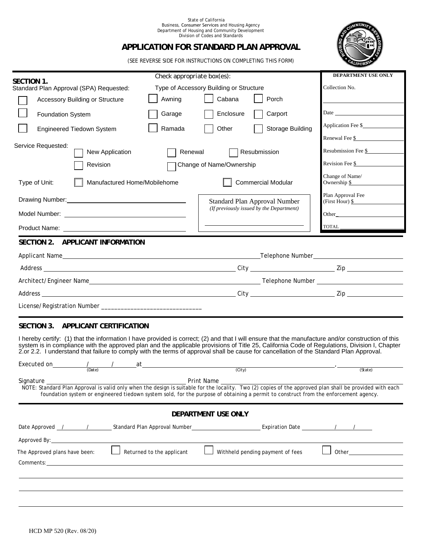#### State of California Business, Consumer Services and Housing Agency Department of Housing and Community Development Division of Codes and Standards

# **APPLICATION FOR STANDARD PLAN APPROVAL**

(SEE REVERSE SIDE FOR INSTRUCTIONS ON COMPLETING THIS FORM)

| SECTION 1.                                    |                                       | Check appropriate box(es): |                                                     |                                          | DEPARTMENT USE ONLY                        |
|-----------------------------------------------|---------------------------------------|----------------------------|-----------------------------------------------------|------------------------------------------|--------------------------------------------|
| Standard Plan Approval (SPA) Requested:       |                                       |                            | Type of Accessory Building or Structure             |                                          | Collection No.                             |
|                                               | Accessory Building or Structure       | Awning                     | Cabana                                              | Porch                                    |                                            |
|                                               | <b>Foundation System</b>              | Garage                     | Enclosure                                           | Carport                                  | Date                                       |
|                                               | Engineered Tiedown System             | Ramada                     | Other                                               | Storage Building                         |                                            |
|                                               |                                       |                            |                                                     |                                          | Renewal Fee \$                             |
|                                               | Service Requested:<br>New Application | Renewal                    |                                                     | Resubmission                             | Resubmission Fee \$                        |
|                                               | Revision                              |                            | Change of Name/Ownership                            |                                          | Revision Fee $\frac{1}{2}$                 |
| Manufactured Home/Mobilehome<br>Type of Unit: |                                       |                            |                                                     | <b>Commercial Modular</b>                | Change of Name/<br>Ownership $\frac{1}{2}$ |
|                                               |                                       |                            | Standard Plan Approval Number                       |                                          | Plan Approval Fee<br>$(First Hour)$ \$     |
|                                               |                                       |                            |                                                     | (If previously issued by the Department) |                                            |
|                                               |                                       |                            |                                                     |                                          | $\underbrace{\text{TOTAL}\xspace}$         |
|                                               | SECTION 2.<br>APPLICANT INFORMATION   |                            |                                                     |                                          |                                            |
|                                               |                                       |                            | _Telephone Number__________________________________ |                                          |                                            |
|                                               |                                       |                            |                                                     |                                          |                                            |
|                                               |                                       |                            |                                                     |                                          |                                            |
|                                               |                                       |                            |                                                     |                                          |                                            |

License/Registration Number \_\_

# **SECTION 3. APPLICANT CERTIFICATION**

I hereby certify: (1) that the information I have provided is correct; (2) and that I will ensure that the manufacture and/or construction of this system is in compliance with the approved plan and the applicable provisions of Title 25, California Code of Regulations, Division I, Chapter 2.or 2.2. I understand that failure to comply with the terms of approval shall be cause for cancellation of the Standard Plan Approval.

| Executed on The Material Structure of The Material Structure of The Material Structure of The Materia Structur                                                                                                                | at                        |                                                                                                                                                                                                                                                                                                  |         |  |  |  |  |  |
|-------------------------------------------------------------------------------------------------------------------------------------------------------------------------------------------------------------------------------|---------------------------|--------------------------------------------------------------------------------------------------------------------------------------------------------------------------------------------------------------------------------------------------------------------------------------------------|---------|--|--|--|--|--|
| (Date)                                                                                                                                                                                                                        |                           | $\overline{(City)}$                                                                                                                                                                                                                                                                              | (State) |  |  |  |  |  |
| Signature                                                                                                                                                                                                                     |                           | Print Name                                                                                                                                                                                                                                                                                       |         |  |  |  |  |  |
|                                                                                                                                                                                                                               |                           | NOTE: Standard Plan Approval is valid only when the design is suitable for the locality. Two (2) copies of the approved plan shall be provided with each<br>foundation system or engineered tiedown system sold, for the purpose of obtaining a permit to construct from the enforcement agency. |         |  |  |  |  |  |
| DEPARTMENT USE ONLY                                                                                                                                                                                                           |                           |                                                                                                                                                                                                                                                                                                  |         |  |  |  |  |  |
|                                                                                                                                                                                                                               |                           | Date Approved <u>/ / June of Standard Plan Approval Number Communication Date Communication Date</u>                                                                                                                                                                                             |         |  |  |  |  |  |
| Approved By:                                                                                                                                                                                                                  |                           |                                                                                                                                                                                                                                                                                                  |         |  |  |  |  |  |
| The Approved plans have been:                                                                                                                                                                                                 | Returned to the applicant | Withheld pending payment of fees                                                                                                                                                                                                                                                                 | Other   |  |  |  |  |  |
| Comments: the comments of the comments of the comments of the comments of the comments of the comments of the comments of the comments of the comments of the comments of the comments of the comments of the comments of the |                           |                                                                                                                                                                                                                                                                                                  |         |  |  |  |  |  |
|                                                                                                                                                                                                                               |                           |                                                                                                                                                                                                                                                                                                  |         |  |  |  |  |  |
|                                                                                                                                                                                                                               |                           |                                                                                                                                                                                                                                                                                                  |         |  |  |  |  |  |
|                                                                                                                                                                                                                               |                           |                                                                                                                                                                                                                                                                                                  |         |  |  |  |  |  |